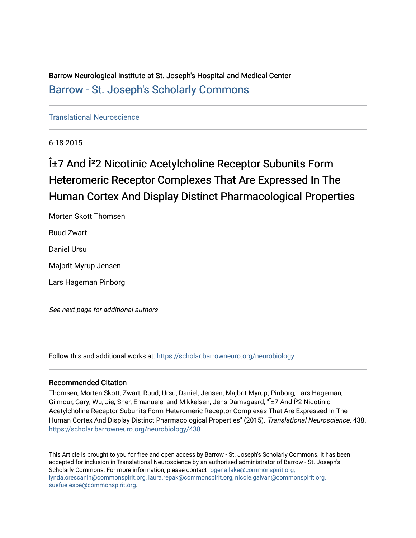Barrow Neurological Institute at St. Joseph's Hospital and Medical Center [Barrow - St. Joseph's Scholarly Commons](https://scholar.barrowneuro.org/) 

[Translational Neuroscience](https://scholar.barrowneuro.org/neurobiology)

6-18-2015

# α7 And Î<sup>2</sup>2 Nicotinic Acetylcholine Receptor Subunits Form Heteromeric Receptor Complexes That Are Expressed In The Human Cortex And Display Distinct Pharmacological Properties

Morten Skott Thomsen Ruud Zwart Daniel Ursu Majbrit Myrup Jensen Lars Hageman Pinborg

See next page for additional authors

Follow this and additional works at: [https://scholar.barrowneuro.org/neurobiology](https://scholar.barrowneuro.org/neurobiology?utm_source=scholar.barrowneuro.org%2Fneurobiology%2F438&utm_medium=PDF&utm_campaign=PDFCoverPages)

#### Recommended Citation

Thomsen, Morten Skott; Zwart, Ruud; Ursu, Daniel; Jensen, Majbrit Myrup; Pinborg, Lars Hageman; Gilmour, Gary; Wu, Jie; Sher, Emanuele; and Mikkelsen, Jens Damsgaard, "α7 And Î<sup>2</sup>2 Nicotinic Acetylcholine Receptor Subunits Form Heteromeric Receptor Complexes That Are Expressed In The Human Cortex And Display Distinct Pharmacological Properties" (2015). Translational Neuroscience. 438. [https://scholar.barrowneuro.org/neurobiology/438](https://scholar.barrowneuro.org/neurobiology/438?utm_source=scholar.barrowneuro.org%2Fneurobiology%2F438&utm_medium=PDF&utm_campaign=PDFCoverPages)

This Article is brought to you for free and open access by Barrow - St. Joseph's Scholarly Commons. It has been accepted for inclusion in Translational Neuroscience by an authorized administrator of Barrow - St. Joseph's Scholarly Commons. For more information, please contact [rogena.lake@commonspirit.org,](mailto:rogena.lake@commonspirit.org,%20lynda.orescanin@commonspirit.org,%20laura.repak@commonspirit.org,%20nicole.galvan@commonspirit.org,%20suefue.espe@commonspirit.org) [lynda.orescanin@commonspirit.org, laura.repak@commonspirit.org, nicole.galvan@commonspirit.org,](mailto:rogena.lake@commonspirit.org,%20lynda.orescanin@commonspirit.org,%20laura.repak@commonspirit.org,%20nicole.galvan@commonspirit.org,%20suefue.espe@commonspirit.org)  [suefue.espe@commonspirit.org](mailto:rogena.lake@commonspirit.org,%20lynda.orescanin@commonspirit.org,%20laura.repak@commonspirit.org,%20nicole.galvan@commonspirit.org,%20suefue.espe@commonspirit.org).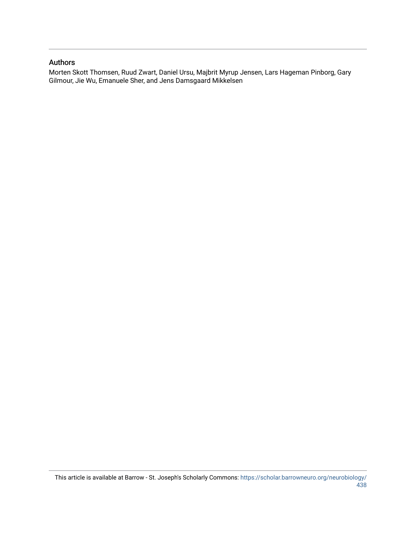#### Authors

Morten Skott Thomsen, Ruud Zwart, Daniel Ursu, Majbrit Myrup Jensen, Lars Hageman Pinborg, Gary Gilmour, Jie Wu, Emanuele Sher, and Jens Damsgaard Mikkelsen

This article is available at Barrow - St. Joseph's Scholarly Commons: [https://scholar.barrowneuro.org/neurobiology/](https://scholar.barrowneuro.org/neurobiology/438) [438](https://scholar.barrowneuro.org/neurobiology/438)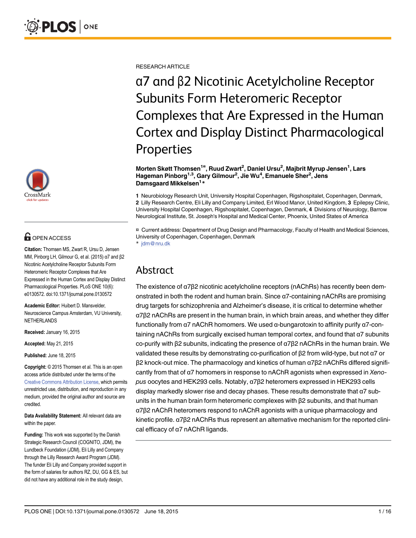

# **OPEN ACCESS**

Citation: Thomsen MS, Zwart R, Ursu D, Jensen MM, Pinborg LH, Gilmour G, et al. (2015) α7 and β2 Nicotinic Acetylcholine Receptor Subunits Form Heteromeric Receptor Complexes that Are Expressed in the Human Cortex and Display Distinct Pharmacological Properties. PLoS ONE 10(6): e0130572. doi:10.1371/journal.pone.0130572

Academic Editor: Huibert D. Mansvelder, Neuroscience Campus Amsterdam, VU University, NETHERLANDS

Received: January 16, 2015

Accepted: May 21, 2015

Published: June 18, 2015

Copyright: © 2015 Thomsen et al. This is an open access article distributed under the terms of the [Creative Commons Attribution License,](http://creativecommons.org/licenses/by/4.0/) which permits unrestricted use, distribution, and reproduction in any medium, provided the original author and source are credited.

Data Availability Statement: All relevant data are within the paper.

Funding: This work was supported by the Danish Strategic Research Council (COGNITO, JDM), the Lundbeck Foundation (JDM), Eli Lilly and Company through the Lilly Research Award Program (JDM). The funder Eli Lilly and Company provided support in the form of salaries for authors RZ, DU, GG & ES, but did not have any additional role in the study design,

RESEARCH ARTICLE

α7 and β2 Nicotinic Acetylcholine Receptor Subunits Form Heteromeric Receptor Complexes that Are Expressed in the Human Cortex and Display Distinct Pharmacological Properties

Morten Skøtt Thomsen<sup>1¤</sup>, Ruud Zwart<sup>2</sup>, Daniel Ursu<sup>2</sup>, Majbrit Myrup Jensen<sup>1</sup>, Lars Hageman Pinborg<sup>1,3</sup>, Gary Gilmour<sup>2</sup>, Jie Wu<sup>4</sup>, Emanuele Sher<sup>2</sup>, Jens Damsgaard Mikkelsen<sup>1</sup>\*

1 Neurobiology Research Unit, University Hospital Copenhagen, Rigshospitalet, Copenhagen, Denmark, 2 Lilly Research Centre, Eli Lilly and Company Limited, Erl Wood Manor, United Kingdom, 3 Epilepsy Clinic, University Hospital Copenhagen, Rigshospitalet, Copenhagen, Denmark, 4 Divisions of Neurology, Barrow Neurological Institute, St. Joseph's Hospital and Medical Center, Phoenix, United States of America

¤ Current address: Department of Drug Design and Pharmacology, Faculty of Health and Medical Sciences, University of Copenhagen, Copenhagen, Denmark \* jdm@nru.dk

# Abstract

The existence of α7β2 nicotinic acetylcholine receptors (nAChRs) has recently been demonstrated in both the rodent and human brain. Since α7-containing nAChRs are promising drug targets for schizophrenia and Alzheimer's disease, it is critical to determine whether α7β2 nAChRs are present in the human brain, in which brain areas, and whether they differ functionally from α7 nAChR homomers. We used α-bungarotoxin to affinity purify α7-containing nAChRs from surgically excised human temporal cortex, and found that α7 subunits co-purify with β2 subunits, indicating the presence of α7β2 nAChRs in the human brain. We validated these results by demonstrating co-purification of β2 from wild-type, but not α7 or β2 knock-out mice. The pharmacology and kinetics of human α7β2 nAChRs differed significantly from that of α7 homomers in response to nAChR agonists when expressed in Xenopus oocytes and HEK293 cells. Notably, α7β2 heteromers expressed in HEK293 cells display markedly slower rise and decay phases. These results demonstrate that α7 subunits in the human brain form heteromeric complexes with β2 subunits, and that human α7β2 nAChR heteromers respond to nAChR agonists with a unique pharmacology and kinetic profile. α7β2 nAChRs thus represent an alternative mechanism for the reported clinical efficacy of α7 nAChR ligands.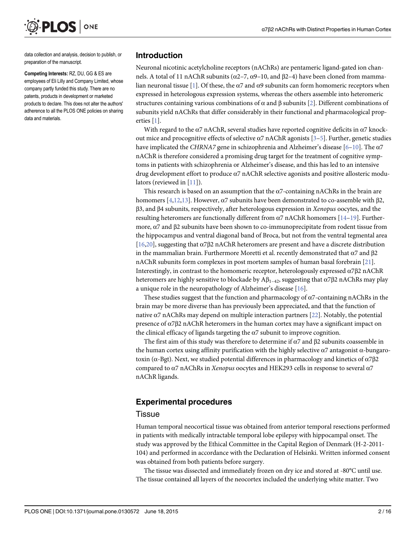<span id="page-3-0"></span>

data collection and analysis, decision to publish, or preparation of the manuscript.

Competing Interests: RZ, DU, GG & ES are employees of Eli Lilly and Company Limited, whose company partly funded this study. There are no patents, products in development or marketed products to declare. This does not alter the authors' adherence to all the PLOS ONE policies on sharing data and materials.

#### Introduction

Neuronal nicotinic acetylcholine receptors (nAChRs) are pentameric ligand-gated ion channels. A total of 11 nAChR subunits ( $\alpha$ 2–7,  $\alpha$ 9–10, and β2–4) have been cloned from mamma-lian neuronal tissue [\[1\]](#page-16-0). Of these, the  $\alpha$ 7 and  $\alpha$ 9 subunits can form homomeric receptors when expressed in heterologous expression systems, whereas the others assemble into heteromeric structures containing various combinations of  $\alpha$  and  $\beta$  subunits [\[2\]](#page-16-0). Different combinations of subunits yield nAChRs that differ considerably in their functional and pharmacological properties [[1\]](#page-16-0).

With regard to the  $\alpha$ 7 nAChR, several studies have reported cognitive deficits in  $\alpha$ 7 knockout mice and procognitive effects of selective  $\alpha$ 7 nAChR agonists [\[3](#page-16-0)-[5\]](#page-16-0). Further, genetic studies have implicated the CHRNA7 gene in schizophrenia and Alzheimer's disease  $[6-10]$  $[6-10]$  $[6-10]$  $[6-10]$  $[6-10]$ . The  $\alpha$ 7 nAChR is therefore considered a promising drug target for the treatment of cognitive symptoms in patients with schizophrenia or Alzheimer's disease, and this has led to an intensive drug development effort to produce α7 nAChR selective agonists and positive allosteric modulators (reviewed in  $[11]$ ).

This research is based on an assumption that the  $\alpha$ 7-containing nAChRs in the brain are homomers [[4](#page-16-0),[12,13](#page-16-0)]. However,  $\alpha$ 7 subunits have been demonstrated to co-assemble with β2, β3, and β4 subunits, respectively, after heterologous expression in Xenopus oocytes, and the resulting heteromers are functionally different from  $\alpha$ 7 nAChR homomers [[14](#page-16-0)–[19\]](#page-17-0). Furthermore, α7 and β2 subunits have been shown to co-immunoprecipitate from rodent tissue from the hippocampus and ventral diagonal band of Broca, but not from the ventral tegmental area [ $16,20$ ], suggesting that  $\alpha$ 7 $\beta$ 2 nAChR heteromers are present and have a discrete distribution in the mammalian brain. Furthermore Moretti et al. recently demonstrated that  $\alpha$ 7 and  $\beta$ 2 nAChR subunits form complexes in post mortem samples of human basal forebrain [\[21\]](#page-17-0). Interestingly, in contrast to the homomeric receptor, heterologously expressed  $\alpha$ 7β2 nAChR heteromers are highly sensitive to blockade by  $A\beta_{1-42}$ , suggesting that  $\alpha$ 7 $\beta$ 2 nAChRs may play a unique role in the neuropathology of Alzheimer's disease [\[16](#page-16-0)].

These studies suggest that the function and pharmacology of  $\alpha$ 7-containing nAChRs in the brain may be more diverse than has previously been appreciated, and that the function of native  $\alpha$ 7 nAChRs may depend on multiple interaction partners [[22](#page-17-0)]. Notably, the potential presence of  $α7β2$  nAChR heteromers in the human cortex may have a significant impact on the clinical efficacy of ligands targeting the  $\alpha$ 7 subunit to improve cognition.

The first aim of this study was therefore to determine if  $\alpha$ 7 and  $\beta$ 2 subunits coassemble in the human cortex using affinity purification with the highly selective  $\alpha$ 7 antagonist  $\alpha$ -bungarotoxin ( $α$ -Bgt). Next, we studied potential differences in pharmacology and kinetics of  $α7β2$ compared to α7 nAChRs in Xenopus oocytes and HEK293 cells in response to several α7 nAChR ligands.

## Experimental procedures

#### **Tissue**

Human temporal neocortical tissue was obtained from anterior temporal resections performed in patients with medically intractable temporal lobe epilepsy with hippocampal onset. The study was approved by the Ethical Committee in the Capital Region of Denmark (H-2-2011- 104) and performed in accordance with the Declaration of Helsinki. Written informed consent was obtained from both patients before surgery.

The tissue was dissected and immediately frozen on dry ice and stored at -80°C until use. The tissue contained all layers of the neocortex included the underlying white matter. Two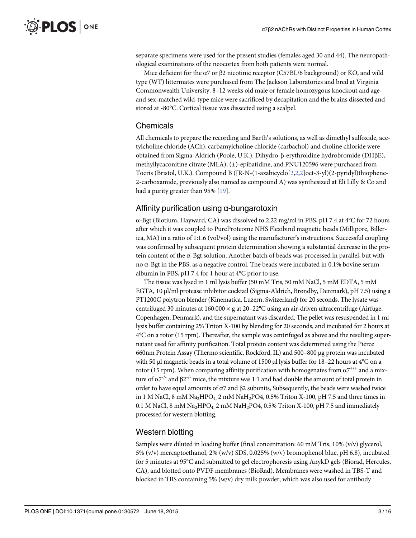separate specimens were used for the present studies (females aged 30 and 44). The neuropathological examinations of the neocortex from both patients were normal.

Mice deficient for the α7 or β2 nicotinic receptor (C57BL/6 background) or KO, and wild type (WT) littermates were purchased from The Jackson Laboratories and bred at Virginia Commonwealth University. 8–12 weeks old male or female homozygous knockout and ageand sex-matched wild-type mice were sacrificed by decapitation and the brains dissected and stored at -80°C. Cortical tissue was dissected using a scalpel.

#### Chemicals

All chemicals to prepare the recording and Barth's solutions, as well as dimethyl sulfoxide, acetylcholine chloride (ACh), carbamylcholine chloride (carbachol) and choline chloride were obtained from Sigma-Aldrich (Poole, U.K.). Dihydro-β-erythroidine hydrobromide (DHβE), methyllycaconitine citrate (MLA), (±)-epibatidine, and PNU120596 were purchased from Tocris (Bristol, U.K.). Compound B ([R-N-(1-azabicyclo[\[2,2,2](#page-16-0)]oct-3-yl)(2-pyridyl)thiophene-2-carboxamide, previously also named as compound A) was synthesized at Eli Lilly & Co and had a purity greater than 95% [\[19\]](#page-17-0).

#### Affinity purification using α-bungarotoxin

α-Bgt (Biotium, Hayward, CA) was dissolved to 2.22 mg/ml in PBS, pH 7.4 at 4°C for 72 hours after which it was coupled to PureProteome NHS Flexibind magnetic beads (Millipore, Billerica, MA) in a ratio of 1:1.6 (vol/vol) using the manufacturer's instructions. Successful coupling was confirmed by subsequent protein determination showing a substantial decrease in the protein content of the α-Bgt solution. Another batch of beads was processed in parallel, but with no  $\alpha$ -Bgt in the PBS, as a negative control. The beads were incubated in 0.1% bovine serum albumin in PBS, pH 7.4 for 1 hour at 4°C prior to use.

The tissue was lysed in 1 ml lysis buffer (50 mM Tris, 50 mM NaCl, 5 mM EDTA, 5 mM EGTA, 10 μl/ml protease inhibitor cocktail (Sigma-Aldrich, Brøndby, Denmark), pH 7.5) using a PT1200C polytron blender (Kinematica, Luzern, Switzerland) for 20 seconds. The lysate was centrifuged 30 minutes at  $160,000 \times g$  at  $20-22$ °C using an air-driven ultracentrifuge (Airfuge, Copenhagen, Denmark), and the supernatant was discarded. The pellet was resuspended in 1 ml lysis buffer containing 2% Triton X-100 by blending for 20 seconds, and incubated for 2 hours at 4°C on a rotor (15 rpm). Thereafter, the sample was centrifuged as above and the resulting supernatant used for affinity purification. Total protein content was determined using the Pierce 660nm Protein Assay (Thermo scientific, Rockford, IL) and 500–800 μg protein was incubated with 50 μl magnetic beads in a total volume of 1500 μl lysis buffer for 18–22 hours at 4°C on a rotor (15 rpm). When comparing affinity purification with homogenates from  $\alpha$ <sup>+/+</sup> and a mixture of  $α7<sup>-/-</sup>$  and  $β2<sup>-/-</sup>$  mice, the mixture was 1:1 and had double the amount of total protein in order to have equal amounts of  $α7$  and  $β2$  subunits, Subsequently, the beads were washed twice in 1 M NaCl, 8 mM Na<sub>2</sub>HPO<sub>4</sub>, 2 mM NaH<sub>2</sub>PO<sub>4</sub>, 0.5% Triton X-100, pH 7.5 and three times in 0.1 M NaCl, 8 mM Na<sub>2</sub>HPO<sub>4</sub>, 2 mM NaH<sub>2</sub>PO4, 0.5% Triton X-100, pH 7.5 and immediately processed for western blotting.

#### Western blotting

Samples were diluted in loading buffer (final concentration: 60 mM Tris, 10% (v/v) glycerol, 5% (v/v) mercaptoethanol, 2% (w/v) SDS, 0.025% (w/v) bromophenol blue, pH 6.8), incubated for 5 minutes at 95°C and submitted to gel electrophoresis using AnykD gels (Biorad, Hercules, CA), and blotted onto PVDF membranes (BioRad). Membranes were washed in TBS-T and blocked in TBS containing 5% (w/v) dry milk powder, which was also used for antibody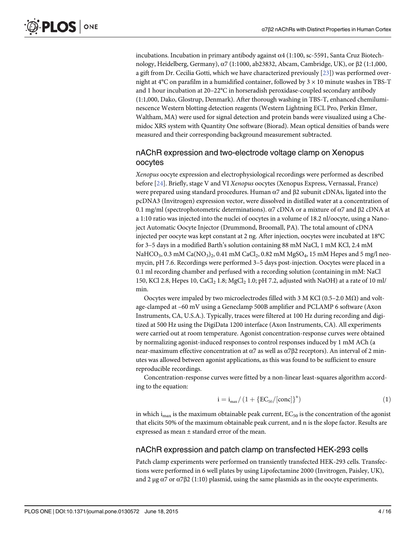<span id="page-5-0"></span>incubations. Incubation in primary antibody against  $\alpha$ 4 (1:100, sc-5591, Santa Cruz Biotechnology, Heidelberg, Germany), α7 (1:1000, ab23832, Abcam, Cambridge, UK), or β2 (1:1,000, a gift from Dr. Cecilia Gotti, which we have characterized previously [\[23\]](#page-17-0)) was performed overnight at  $4^{\circ}$ C on parafilm in a humidified container, followed by  $3 \times 10$  minute washes in TBS-T and 1 hour incubation at 20–22°C in horseradish peroxidase-coupled secondary antibody (1:1,000, Dako, Glostrup, Denmark). After thorough washing in TBS-T, enhanced chemiluminescence Western blotting detection reagents (Western Lightning ECL Pro, Perkin Elmer, Waltham, MA) were used for signal detection and protein bands were visualized using a Chemidoc XRS system with Quantity One software (Biorad). Mean optical densities of bands were measured and their corresponding background measurement subtracted.

# nAChR expression and two-electrode voltage clamp on Xenopus oocytes

Xenopus oocyte expression and electrophysiological recordings were performed as described before [[24](#page-17-0)]. Briefly, stage V and VI Xenopus oocytes (Xenopus Express, Vernassal, France) were prepared using standard procedures. Human  $\alpha$ 7 and  $\beta$ 2 subunit cDNAs, ligated into the pcDNA3 (Invitrogen) expression vector, were dissolved in distilled water at a concentration of 0.1 mg/ml (spectrophotometric determinations). α7 cDNA or a mixture of α7 and β2 cDNA at a 1:10 ratio was injected into the nuclei of oocytes in a volume of 18.2 nl/oocyte, using a Nanoject Automatic Oocyte Injector (Drummond, Broomall, PA). The total amount of cDNA injected per oocyte was kept constant at 2 ng. After injection, oocytes were incubated at 18°C for 3–5 days in a modified Barth's solution containing 88 mM NaCl, 1 mM KCl, 2.4 mM NaHCO<sub>3</sub>, 0.3 mM Ca(NO<sub>3</sub>)<sub>2</sub>, 0.41 mM CaCl<sub>2</sub>, 0.82 mM MgSO<sub>4</sub>, 15 mM Hepes and 5 mg/l neomycin, pH 7.6. Recordings were performed 3–5 days post-injection. Oocytes were placed in a 0.1 ml recording chamber and perfused with a recording solution (containing in mM: NaCl 150, KCl 2.8, Hepes 10, CaCl<sub>2</sub> 1.8; MgCl<sub>2</sub> 1.0; pH 7.2, adjusted with NaOH) at a rate of 10 ml/ min.

Oocytes were impaled by two microelectrodes filled with 3 M KCl (0.5–2.0 M $\Omega$ ) and voltage-clamped at –60 mV using a Geneclamp 500B amplifier and PCLAMP 6 software (Axon Instruments, CA, U.S.A.). Typically, traces were filtered at 100 Hz during recording and digitized at 500 Hz using the DigiData 1200 interface (Axon Instruments, CA). All experiments were carried out at room temperature. Agonist concentration-response curves were obtained by normalizing agonist-induced responses to control responses induced by 1 mM ACh (a near-maximum effective concentration at α7 as well as α7β2 receptors). An interval of 2 minutes was allowed between agonist applications, as this was found to be sufficient to ensure reproducible recordings.

Concentration-response curves were fitted by a non-linear least-squares algorithm according to the equation:

$$
i = i_{\text{max}} / \left( 1 + \{ EC_{50} / [\text{conc}] \}^{n} \right) \tag{1}
$$

in which i<sub>max</sub> is the maximum obtainable peak current,  $EC_{50}$  is the concentration of the agonist that elicits 50% of the maximum obtainable peak current, and n is the slope factor. Results are expressed as mean ± standard error of the mean.

#### nAChR expression and patch clamp on transfected HEK-293 cells

Patch clamp experiments were performed on transiently transfected HEK-293 cells. Transfections were performed in 6 well plates by using Lipofectamine 2000 (Invitrogen, Paisley, UK), and 2 μg  $\alpha$ 7 or  $\alpha$ 7 $\beta$ 2 (1:10) plasmid, using the same plasmids as in the oocyte experiments.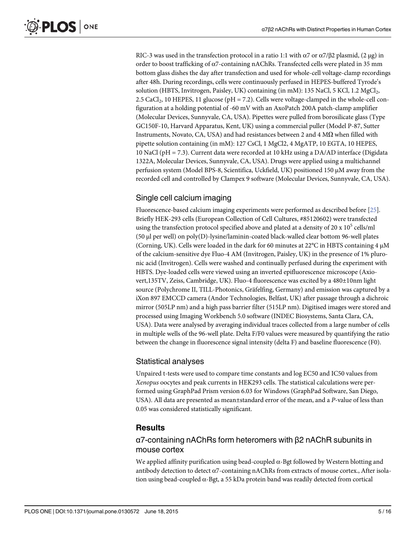<span id="page-6-0"></span>RIC-3 was used in the transfection protocol in a ratio 1:1 with  $\alpha$ 7 or  $\alpha$ 7/β2 plasmid, (2 μg) in order to boost trafficking of  $\alpha$ 7-containing nAChRs. Transfected cells were plated in 35 mm bottom glass dishes the day after transfection and used for whole-cell voltage-clamp recordings after 48h. During recordings, cells were continuously perfused in HEPES-buffered Tyrode's solution (HBTS, Invitrogen, Paisley, UK) containing (in mM):  $135$  NaCl,  $5$  KCl,  $1.2$  MgCl<sub>2</sub>, 2.5 CaCl<sub>2</sub>, 10 HEPES, 11 glucose ( $pH = 7.2$ ). Cells were voltage-clamped in the whole-cell configuration at a holding potential of -60 mV with an AxoPatch 200A patch-clamp amplifier (Molecular Devices, Sunnyvale, CA, USA). Pipettes were pulled from borosilicate glass (Type GC150F-10, Harvard Apparatus, Kent, UK) using a commercial puller (Model P-87, Sutter Instruments, Novato, CA, USA) and had resistances between 2 and 4  $M\Omega$  when filled with pipette solution containing (in mM): 127 CsCl, 1 MgCl2, 4 MgATP, 10 EGTA, 10 HEPES, 10 NaCl (pH = 7.3). Current data were recorded at 10 kHz using a DA/AD interface (Digidata 1322A, Molecular Devices, Sunnyvale, CA, USA). Drugs were applied using a multichannel perfusion system (Model BPS-8, Scientifica, Uckfield, UK) positioned 150 μM away from the recorded cell and controlled by Clampex 9 software (Molecular Devices, Sunnyvale, CA, USA).

# Single cell calcium imaging

Fluorescence-based calcium imaging experiments were performed as described before [[25](#page-17-0)]. Briefly HEK-293 cells (European Collection of Cell Cultures, #85120602) were transfected using the transfection protocol specified above and plated at a density of 20 x  $10^5$  cells/ml (50 μl per well) on poly(D)-lysine/laminin-coated black-walled clear bottom 96-well plates (Corning, UK). Cells were loaded in the dark for 60 minutes at 22°C in HBTS containing 4 μM of the calcium-sensitive dye Fluo-4 AM (Invitrogen, Paisley, UK) in the presence of 1% pluronic acid (Invitrogen). Cells were washed and continually perfused during the experiment with HBTS. Dye-loaded cells were viewed using an inverted epifluorescence microscope (Axiovert,135TV, Zeiss, Cambridge, UK). Fluo-4 fluorescence was excited by a 480±10nm light source (Polychrome II, TILL-Photonics, Gräfelfing, Germany) and emission was captured by a iXon 897 EMCCD camera (Andor Technologies, Belfast, UK) after passage through a dichroic mirror (505LP nm) and a high pass barrier filter (515LP nm). Digitised images were stored and processed using Imaging Workbench 5.0 software (INDEC Biosystems, Santa Clara, CA, USA). Data were analysed by averaging individual traces collected from a large number of cells in multiple wells of the 96-well plate. Delta F/F0 values were measured by quantifying the ratio between the change in fluorescence signal intensity (delta F) and baseline fluorescence (F0).

# Statistical analyses

Unpaired t-tests were used to compare time constants and log EC50 and IC50 values from Xenopus oocytes and peak currents in HEK293 cells. The statistical calculations were performed using GraphPad Prism version 6.03 for Windows (GraphPad Software, San Diego, USA). All data are presented as mean±standard error of the mean, and a P-value of less than 0.05 was considered statistically significant.

# **Results**

# α7-containing nAChRs form heteromers with β2 nAChR subunits in mouse cortex

We applied affinity purification using bead-coupled  $\alpha$ -Bgt followed by Western blotting and antibody detection to detect  $\alpha$ 7-containing nAChRs from extracts of mouse cortex., After isolation using bead-coupled α-Bgt, a 55 kDa protein band was readily detected from cortical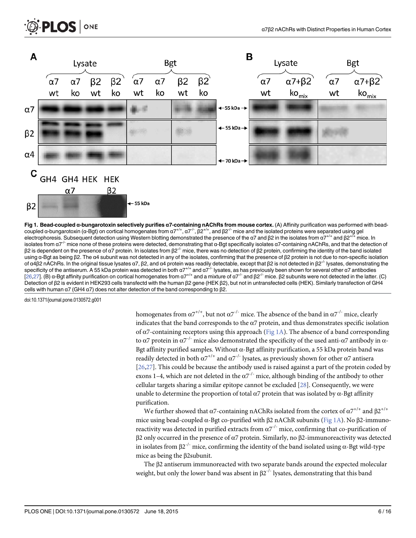<span id="page-7-0"></span>

Fig 1. Bead-coupled α-bungarotoxin selectively purifies α7-containing nAChRs from mouse cortex. (A) Affinity purification was performed with beadcoupled α-bungarotoxin (α-Bgt) on cortical homogenates from  $a^{7+/-}$ ,  $a^{7-/-}$ ,  $β^{2+/-}$ , and  $β^{2-/-}$  mice and the isolated proteins were separated using gel electrophoresis. Subsequent detection using Western blotting demonstrated the presence of the  $\alpha$ 7 and  $\beta$ 2 in the isolates from  $\alpha$ 7<sup>+/+</sup> and  $\beta$ 2<sup>+/+</sup> mice. In isolates from α7<sup>-/-</sup> mice none of these proteins were detected, demonstrating that α-Bgt specifically isolates α7-containing nAChRs, and that the detection of  $β2$  is dependent on the presence of α7 protein. In isolates from  $β2^{-/-}$  mice, there was no detection of  $β2$  protein, confirming the identity of the band isolated using α-Bgt as being β2. The α4 subunit was not detected in any of the isolates, confirming that the presence of β2 protein is not due to non-specific isolation of α4β2 nAChRs. In the original tissue lysates α7, β2, and α4 protein was readily detectable, except that β2 is not detected in β2<sup>-/-</sup> lysates, demonstrating the specificity of the antiserum. A 55 kDa protein was detected in both  $a7^{+/+}$  and  $a7^{+/}$  lysates, as has previously been shown for several other  $a7$  antibodies [\[26,27\]](#page-17-0). (B) α-Bgt affinity purification on cortical homogenates from  $\alpha$ 7<sup>+/+</sup> and a mixture of  $\alpha$ 7<sup>-/-</sup> and β2<sup>-/-</sup> mice. β2 subunits were not detected in the latter. (C) Detection of β2 is evident in HEK293 cells transfectd with the human β2 gene (HEK β2), but not in untransfected cells (HEK). Similarly transfection of GH4 cells with human α7 (GH4 α7) does not alter detection of the band corresponding to β2.

PLOS ONE

homogenates from  $\alpha$ 7<sup>+/+</sup>, but not  $\alpha$ 7<sup>-/-</sup> mice. The absence of the band in  $\alpha$ 7<sup>-/-</sup> mice, clearly indicates that the band corresponds to the  $\alpha$ 7 protein, and thus demonstrates specific isolation of α7-containing receptors using this approach (Fig 1A). The absence of a band corresponding to α7 protein in  $\alpha$ <sup>-/-</sup> mice also demonstrated the specificity of the used anti-α7 antibody in α-Bgt affinity purified samples. Without  $\alpha$ -Bgt affinity purification, a 55 kDa protein band was readily detected in both  $\alpha$ 7<sup>+/+</sup> and  $\alpha$ 7<sup>-/-</sup> lysates, as previously shown for other  $\alpha$ 7 antisera [\[26,27\]](#page-17-0). This could be because the antibody used is raised against a part of the protein coded by exons 1–4, which are not deleted in the  $\alpha$ 7<sup>-/-</sup> mice, although binding of the antibody to other cellular targets sharing a similar epitope cannot be excluded  $[28]$  $[28]$  $[28]$ . Consequently, we were unable to determine the proportion of total  $\alpha$ 7 protein that was isolated by  $\alpha$ -Bgt affinity purification.

We further showed that  $\alpha$ 7-containing nAChRs isolated from the cortex of  $\alpha$ 7<sup>+/+</sup> and  $\beta$ 2<sup>+/+</sup> mice using bead-coupled α-Bgt co-purified with β2 nAChR subunits (Fig 1A). No β2-immunoreactivity was detected in purified extracts from  $\alpha$ 7<sup>-/-</sup> mice, confirming that co-purification of β2 only occurred in the presence of α7 protein. Similarly, no β2-immunoreactivity was detected in isolates from  $\beta 2^{-1}$  mice, confirming the identity of the band isolated using  $\alpha$ -Bgt wild-type mice as being the β2subunit.

The β2 antiserum immunoreacted with two separate bands around the expected molecular weight, but only the lower band was absent in  $\beta 2^{-1}$  lysates, demonstrating that this band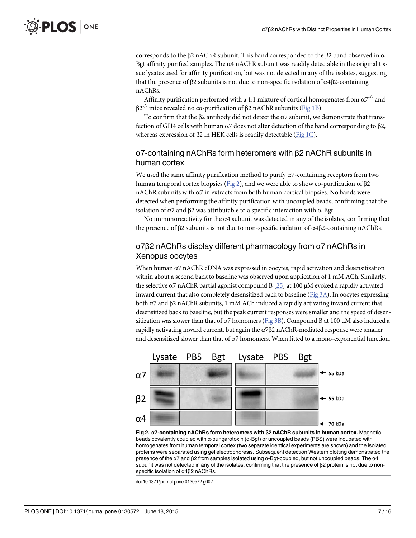<span id="page-8-0"></span>corresponds to the β2 nAChR subunit. This band corresponded to the β2 band observed in α-Bgt affinity purified samples. The  $\alpha$ 4 nAChR subunit was readily detectable in the original tissue lysates used for affinity purification, but was not detected in any of the isolates, suggesting that the presence of β2 subunits is not due to non-specific isolation of  $α4β2$ -containing nAChRs.

Affinity purification performed with a 1:1 mixture of cortical homogenates from  $\alpha$ 7<sup>-/-</sup> and  $β2^{-/-}$  mice revealed no co-purification of  $β2$  nAChR subunits [\(Fig 1B\)](#page-7-0).

To confirm that the  $\beta$ 2 antibody did not detect the  $\alpha$ 7 subunit, we demonstrate that transfection of GH4 cells with human α7 does not alter detection of the band corresponding to β2, whereas expression of β2 in HEK cells is readily detectable ([Fig 1C](#page-7-0)).

# α7-containing nAChRs form heteromers with β2 nAChR subunits in human cortex

We used the same affinity purification method to purify  $\alpha$ 7-containing receptors from two human temporal cortex biopsies (Fig 2), and we were able to show co-purification of β2 nAChR subunits with  $α7$  in extracts from both human cortical biopsies. No bands were detected when performing the affinity purification with uncoupled beads, confirming that the isolation of  $α7$  and  $β2$  was attributable to a specific interaction with  $α$ -Bgt.

No immunore activity for the  $\alpha$ 4 subunit was detected in any of the isolates, confirming that the presence of β2 subunits is not due to non-specific isolation of α4β2-containing nAChRs.

# α7β2 nAChRs display different pharmacology from α7 nAChRs in Xenopus oocytes

When human α7 nAChR cDNA was expressed in oocytes, rapid activation and desensitization within about a second back to baseline was observed upon application of 1 mM ACh. Similarly, the selective α7 nAChR partial agonist compound B  $[25]$  $[25]$  $[25]$  at 100 μM evoked a rapidly activated inward current that also completely desensitized back to baseline [\(Fig 3A\)](#page-9-0). In oocytes expressing both α7 and β2 nAChR subunits, 1 mM ACh induced a rapidly activating inward current that desensitized back to baseline, but the peak current responses were smaller and the speed of desensitization was slower than that of  $\alpha$ 7 homomers [\(Fig 3B](#page-9-0)). Compound B at 100 μM also induced a rapidly activating inward current, but again the α7β2 nAChR-mediated response were smaller and desensitized slower than that of  $\alpha$ 7 homomers. When fitted to a mono-exponential function,



Fig 2. α7-containing nAChRs form heteromers with β2 nAChR subunits in human cortex. Magnetic beads covalently coupled with α-bungarotoxin (α-Bgt) or uncoupled beads (PBS) were incubated with homogenates from human temporal cortex (two separate identical experiments are shown) and the isolated proteins were separated using gel electrophoresis. Subsequent detection Western blotting demonstrated the presence of the α7 and β2 from samples isolated using α-Bgt-coupled, but not uncoupled beads. The α4 subunit was not detected in any of the isolates, confirming that the presence of β2 protein is not due to nonspecific isolation of α4β2 nAChRs.

doi:10.1371/journal.pone.0130572.g002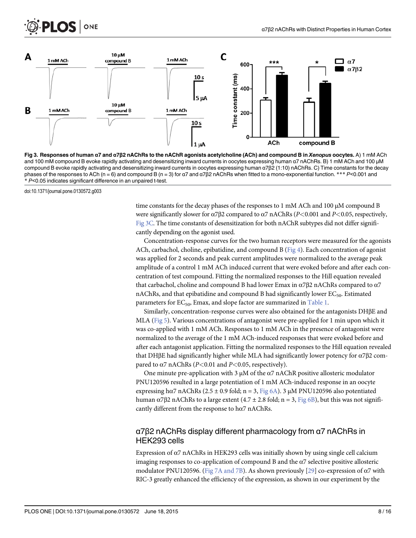<span id="page-9-0"></span>



[Fig 3. R](#page-8-0)esponses of human α7 and α7β2 nAChRs to the nAChR agonists acetylcholine (ACh) and compound B in Xenopus oocytes. A) 1 mM ACh and 100 mM compound B evoke rapidly activating and desensitizing inward currents in oocytes expressing human α7 nAChRs. B) 1 mM ACh and 100 μM compound B evoke rapidly activating and desensitizing inward currents in oocytes expressing human α7β2 (1:10) nAChRs. C) Time constants for the decay phases of the responses to ACh (n = 6) and compound B (n = 3) for α7 and α7β2 nAChRs when fitted to a mono-exponential function. \*\*\* P<0.001 and \* P<0.05 indicates significant difference in an unpaired t-test.

time constants for the decay phases of the responses to 1 mM ACh and 100 μM compound B were significantly slower for  $\alpha$ 7β2 compared to  $\alpha$ 7 nAChRs (P<0.001 and P<0.05, respectively, Fig 3C. The time constants of desensitization for both nAChR subtypes did not differ significantly depending on the agonist used.

Concentration-response curves for the two human receptors were measured for the agonists ACh, carbachol, choline, epibatidine, and compound B ( $Fig 4$ ). Each concentration of agonist was applied for 2 seconds and peak current amplitudes were normalized to the average peak amplitude of a control 1 mM ACh induced current that were evoked before and after each concentration of test compound. Fitting the normalized responses to the Hill equation revealed that carbachol, choline and compound B had lower Emax in  $\alpha$ 7β2 nAChRs compared to  $\alpha$ 7 nAChRs, and that epibatidine and compound B had significantly lower  $EC_{50}$ . Estimated parameters for  $EC_{50}$ , Emax, and slope factor are summarized in [Table 1](#page-11-0).

Similarly, concentration-response curves were also obtained for the antagonists DHβE and MLA ([Fig 5](#page-12-0)). Various concentrations of antagonist were pre-applied for 1 min upon which it was co-applied with 1 mM ACh. Responses to 1 mM ACh in the presence of antagonist were normalized to the average of the 1 mM ACh-induced responses that were evoked before and after each antagonist application. Fitting the normalized responses to the Hill equation revealed that DHβE had significantly higher while MLA had significantly lower potency for  $\alpha$ 7β2 compared to  $\alpha$ 7 nAChRs (P<0.01 and P<0.05, respectively).

One minute pre-application with 3  $\mu$ M of the  $\alpha$ 7 nAChR positive allosteric modulator PNU120596 resulted in a large potentiation of 1 mM ACh-induced response in an oocyte expressing hα7 nAChRs (2.5 ± 0.9 fold; n = 3,  $Fig 6A$ ). 3 μM PNU120596 also potentiated human α7β2 nAChRs to a large extent  $(4.7 \pm 2.8 \text{ fold}; n = 3, \text{Fig } 6B)$ , but this was not significantly different from the response to  $h\alpha$ 7 nAChRs.

# α7β2 nAChRs display different pharmacology from α7 nAChRs in HEK293 cells

Expression of  $\alpha$ 7 nAChRs in HEK293 cells was initially shown by using single cell calcium imaging responses to co-application of compound B and the α7 selective positive allosteric modulator PNU120596. [\(Fig 7A and 7B\)](#page-14-0). As shown previously [\[29\]](#page-17-0) co-expression of  $\alpha$ 7 with RIC-3 greatly enhanced the efficiency of the expression, as shown in our experiment by the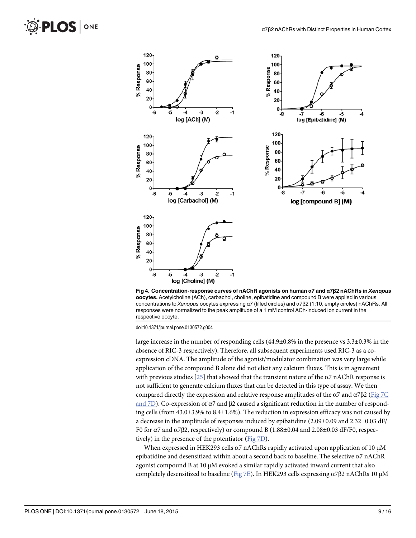<span id="page-10-0"></span>

[Fig 4. C](#page-9-0)oncentration-response curves of nAChR agonists on human α7 and α7β2 nAChRs in Xenopus oocytes. Acetylcholine (ACh), carbachol, choline, epibatidine and compound B were applied in various concentrations to Xenopus oocytes expressing α7 (filled circles) and α7β2 (1:10, empty circles) nAChRs. All responses were normalized to the peak amplitude of a 1 mM control ACh-induced ion current in the respective oocyte.

large increase in the number of responding cells (44.9±0.8% in the presence vs 3.3±0.3% in the absence of RIC-3 respectively). Therefore, all subsequent experiments used RIC-3 as a coexpression cDNA. The amplitude of the agonist/modulator combination was very large while application of the compound B alone did not elicit any calcium fluxes. This is in agreement with previous studies  $[25]$  that showed that the transient nature of the  $\alpha$ 7 nAChR response is not sufficient to generate calcium fluxes that can be detected in this type of assay. We then compared directly the expression and relative response amplitudes of the  $\alpha$ 7 and  $\alpha$ 7β2 ([Fig 7C](#page-14-0) [and 7D](#page-14-0)). Co-expression of  $\alpha$ 7 and  $\beta$ 2 caused a significant reduction in the number of responding cells (from 43.0±3.9% to 8.4±1.6%). The reduction in expression efficacy was not caused by a decrease in the amplitude of responses induced by epibatidine  $(2.09\pm0.09$  and  $2.32\pm0.03$  dF/ F0 for α7 and α7β2, respectively) or compound B (1.88±0.04 and 2.08±0.03 dF/F0, respectively) in the presence of the potentiator ([Fig 7D\)](#page-14-0).

When expressed in HEK293 cells  $\alpha$ 7 nAChRs rapidly activated upon application of 10  $\mu$ M epibatidine and desensitized within about a second back to baseline. The selective  $\alpha$ 7 nAChR agonist compound B at 10 μM evoked a similar rapidly activated inward current that also completely desensitized to baseline ([Fig 7E\)](#page-14-0). In HEK293 cells expressing α7β2 nAChRs 10 μM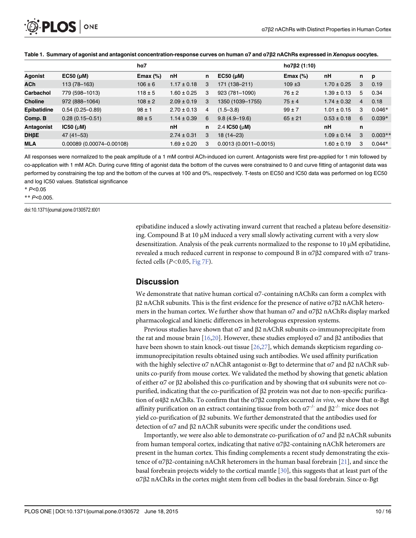<span id="page-11-0"></span>

|                    |                           | $h\alpha$ 7 |                 |   |                           | $h\alpha$ 7 $\beta$ 2 (1:10) |                 |                |           |
|--------------------|---------------------------|-------------|-----------------|---|---------------------------|------------------------------|-----------------|----------------|-----------|
| Agonist            | $EC50$ ( $\mu$ M)         | Emax $(\%)$ | nH              | n | $EC50$ ( $\mu$ M)         | Emax $(\%)$                  | nH              | n              | p         |
| <b>ACh</b>         | 113 (78-163)              | $106 \pm 6$ | $1.17 \pm 0.18$ | 3 | 171 (138-211)             | $109 + 3$                    | $1.70 \pm 0.25$ | 3              | 0.19      |
| Carbachol          | 779 (598-1013)            | $118 \pm 5$ | $1.60 \pm 0.25$ | 3 | 923 (781-1090)            | $76 \pm 2$                   | $1.39 \pm 0.13$ | 5              | 0.34      |
| <b>Choline</b>     | 972 (888-1064)            | $108 \pm 2$ | $2.09 \pm 0.19$ | 3 | 1350 (1039-1755)          | $75 \pm 4$                   | $1.74 \pm 0.32$ | $\overline{4}$ | 0.18      |
| <b>Epibatidine</b> | $0.54(0.25 - 0.89)$       | $98 \pm 1$  | $2.70 \pm 0.13$ | 4 | $(1.5 - 3.8)$             | $99 \pm 7$                   | $1.01 \pm 0.15$ | 3              | $0.046*$  |
| Comp. B            | $0.28(0.15 - 0.51)$       | $88 \pm 5$  | $1.14 \pm 0.39$ | 6 | $9.8(4.9 - 19.6)$         | $65 \pm 21$                  | $0.53 \pm 0.18$ | 6              | $0.039*$  |
| Antagonist         | IC50 ( $\mu$ M)           |             | nH              | n | 2.4 IC50 ( $\mu$ M)       |                              | nH              | n              |           |
| <b>DHßE</b>        | $47(41 - 53)$             |             | $2.74 \pm 0.31$ | 3 | $18(14 - 23)$             |                              | $1.09 \pm 0.14$ | 3              | $0.003**$ |
| <b>MLA</b>         | 0.00089 (0.00074-0.00108) |             | $1.69 \pm 0.20$ | 3 | $0.0013(0.0011 - 0.0015)$ |                              | $1.60 \pm 0.19$ | 3              | $0.044*$  |

#### [Table 1.](#page-9-0) Summary of agonist and antagonist concentration-response curves on human α7 and α7β2 nAChRs expressed in Xenopus oocytes.

All responses were normalized to the peak amplitude of a 1 mM control ACh-induced ion current. Antagonists were first pre-applied for 1 min followed by co-application with 1 mM ACh. During curve fitting of agonist data the bottom of the curves were constrained to 0 and curve fitting of antagonist data was performed by constraining the top and the bottom of the curves at 100 and 0%, respectively. T-tests on EC50 and IC50 data was performed on log EC50 and log IC50 values. Statistical significance

\* P<0.05

\*\* P<0.005.

doi:10.1371/journal.pone.0130572.t001

epibatidine induced a slowly activating inward current that reached a plateau before desensitizing. Compound B at 10 μM induced a very small slowly activating current with a very slow desensitization. Analysis of the peak currents normalized to the response to 10 μM epibatidine, revealed a much reduced current in response to compound B in  $α7β2$  compared with  $α7$  transfected cells  $(P<0.05,$  [Fig 7F](#page-14-0)).

#### **Discussion**

We demonstrate that native human cortical  $\alpha$ 7-containing nAChRs can form a complex with β2 nAChR subunits. This is the first evidence for the presence of native α7β2 nAChR heteromers in the human cortex. We further show that human  $\alpha$ 7 and  $\alpha$ 7 $\beta$ 2 nAChRs display marked pharmacological and kinetic differences in heterologous expression systems.

Previous studies have shown that  $\alpha$ 7 and  $\beta$ 2 nAChR subunits co-immunoprecipitate from the rat and mouse brain  $[16,20]$  $[16,20]$ . However, these studies employed α7 and β2 antibodies that have been shown to stain knock-out tissue  $[26,27]$  $[26,27]$  $[26,27]$  $[26,27]$  $[26,27]$ , which demands skepticism regarding coimmunoprecipitation results obtained using such antibodies. We used affinity purification with the highly selective  $α7$  nAChR antagonist  $α$ -Bgt to determine that  $α7$  and  $β2$  nAChR subunits co-purify from mouse cortex. We validated the method by showing that genetic ablation of either α7 or β2 abolished this co-purification and by showing that α4 subunits were not copurified, indicating that the co-purification of β2 protein was not due to non-specific purification of α4β2 nAChRs. To confirm that the α7β2 complex occurred in vivo, we show that α-Bgt affinity purification on an extract containing tissue from both  $\alpha$ <sup>-/-</sup> and  $\beta$ 2<sup>-/-</sup> mice does not yield co-purification of β2 subunits. We further demonstrated that the antibodies used for detection of α7 and β2 nAChR subunits were specific under the conditions used.

Importantly, we were also able to demonstrate co-purification of α7 and β2 nAChR subunits from human temporal cortex, indicating that native α7β2-containing nAChR heteromers are present in the human cortex. This finding complements a recent study demonstrating the existence of α7β2-containing nAChR heteromers in the human basal forebrain [[21](#page-17-0)], and since the basal forebrain projects widely to the cortical mantle [[30](#page-17-0)], this suggests that at least part of the α7β2 nAChRs in the cortex might stem from cell bodies in the basal forebrain. Since α-Bgt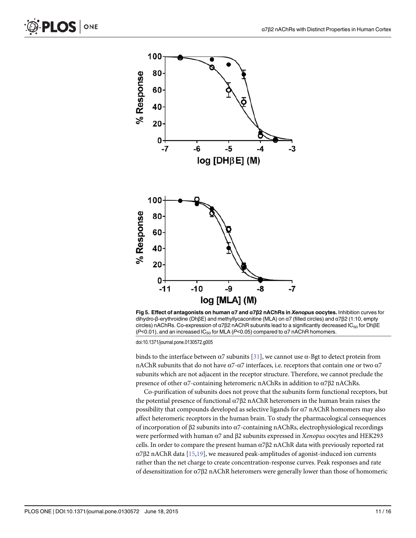<span id="page-12-0"></span>



[Fig 5. E](#page-9-0)ffect of antagonists on human α7 and α7β2 nAChRs in Xenopus oocytes. Inhibition curves for dihydro-β-erythroidine (DhβE) and methyllycaconitine (MLA) on α7 (filled circles) and α7β2 (1:10, empty circles) nAChRs. Co-expression of α7β2 nAChR subunits lead to a significantly decreased IC<sub>50</sub> for DhβE (P<0.01), and an increased IC<sub>50</sub> for MLA (P<0.05) compared to  $\alpha$ 7 nAChR homomers.

binds to the interface between  $α7$  subunits [[31](#page-17-0)], we cannot use  $α$ -Bgt to detect protein from nAChR subunits that do not have α7-α7 interfaces, i.e. receptors that contain one or two α7 subunits which are not adjacent in the receptor structure. Therefore, we cannot preclude the presence of other α7-containing heteromeric nAChRs in addition to α7β2 nAChRs.

Co-purification of subunits does not prove that the subunits form functional receptors, but the potential presence of functional  $\alpha$ 7 $\beta$ 2 nAChR heteromers in the human brain raises the possibility that compounds developed as selective ligands for  $\alpha$ 7 nAChR homomers may also affect heteromeric receptors in the human brain. To study the pharmacological consequences of incorporation of β2 subunits into α7-containing nAChRs, electrophysiological recordings were performed with human α7 and β2 subunits expressed in Xenopus oocytes and HEK293 cells. In order to compare the present human  $\alpha$ 7 $\beta$ 2 nAChR data with previously reported rat α7β2 nAChR data [[15](#page-16-0)[,19](#page-17-0)], we measured peak-amplitudes of agonist-induced ion currents rather than the net charge to create concentration-response curves. Peak responses and rate of desensitization for α7β2 nAChR heteromers were generally lower than those of homomeric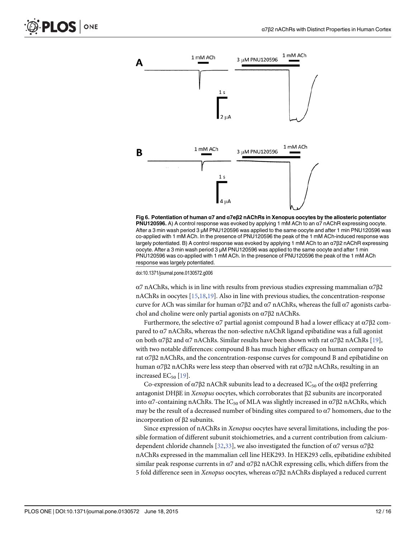<span id="page-13-0"></span>

[Fig 6. P](#page-9-0)otentiation of human α7 and α7eβ2 nAChRs in Xenopus oocytes by the allosteric potentiator PNU120596. A) A control response was evoked by applying 1 mM ACh to an α7 nAChR expressing oocyte. After a 3 min wash period 3 μM PNU120596 was applied to the same oocyte and after 1 min PNU120596 was co-applied with 1 mM ACh. In the presence of PNU120596 the peak of the 1 mM ACh-induced response was largely potentiated. B) A control response was evoked by applying 1 mM ACh to an α7β2 nAChR expressing oocyte. After a 3 min wash period 3 μM PNU120596 was applied to the same oocyte and after 1 min PNU120596 was co-applied with 1 mM ACh. In the presence of PNU120596 the peak of the 1 mM ACh response was largely potentiated.

α7 nAChRs, which is in line with results from previous studies expressing mammalian α7β2 nAChRs in oocytes [[15,18](#page-16-0)[,19\]](#page-17-0). Also in line with previous studies, the concentration-response curve for ACh was similar for human  $\alpha$ 7 $\beta$ 2 and  $\alpha$ 7 nAChRs, whereas the full  $\alpha$ 7 agonists carbachol and choline were only partial agonists on  $α7β2$  nAChRs.

Furthermore, the selective  $\alpha$ 7 partial agonist compound B had a lower efficacy at  $\alpha$ 7 $\beta$ 2 compared to  $\alpha$ 7 nAChRs, whereas the non-selective nAChR ligand epibatidine was a full agonist on both  $\alpha$ 7β2 and  $\alpha$ 7 nAChRs. Similar results have been shown with rat  $\alpha$ 7β2 nAChRs [[19\]](#page-17-0), with two notable differences: compound B has much higher efficacy on human compared to rat  $\alpha$ 7β2 nAChRs, and the concentration-response curves for compound B and epibatidine on human  $α7β2$  nAChRs were less steep than observed with rat  $α7β2$  nAChRs, resulting in an increased  $EC_{50}$  [[19](#page-17-0)].

Co-expression of  $\alpha$ 7β2 nAChR subunits lead to a decreased IC<sub>50</sub> of the  $\alpha$ 4β2 preferring antagonist DHβE in Xenopus oocytes, which corroborates that β2 subunits are incorporated into  $\alpha$ 7-containing nAChRs. The IC<sub>50</sub> of MLA was slightly increased in  $\alpha$ 7 $\beta$ 2 nAChRs, which may be the result of a decreased number of binding sites compared to α7 homomers, due to the incorporation of β2 subunits.

Since expression of nAChRs in Xenopus oocytes have several limitations, including the possible formation of different subunit stoichiometries, and a current contribution from calcium-dependent chloride channels [[32,33](#page-17-0)], we also investigated the function of  $\alpha$ 7 versus  $\alpha$ 7 $\beta$ 2 nAChRs expressed in the mammalian cell line HEK293. In HEK293 cells, epibatidine exhibited similar peak response currents in  $\alpha$ 7 and  $\alpha$ 7 $\beta$ 2 nAChR expressing cells, which differs from the 5 fold difference seen in Xenopus oocytes, whereas α7β2 nAChRs displayed a reduced current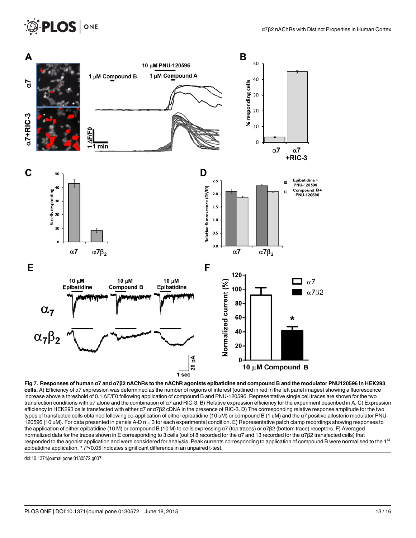# <span id="page-14-0"></span>PLOS ONE



[Fig 7. R](#page-9-0)esponses of human α7 and α7β2 nAChRs to the nAChR agonists epibatidine and compound B and the modulator PNU120596 in HEK293 cells. A) Efficiency of α7 expression was determined as the number of regions of interest (outlined in red in the left panel images) showing a fluorescence increase above a threshold of 0.1 ΔF/F0 following application of compound B and PNU-120596. Representative single cell traces are shown for the two transfection conditions with α7 alone and the combination of α7 and RIC-3. B) Relative expression efficiency for the experiment described in A. C) Expression efficiency in HEK293 cells transfected with either α7 or α7β2 cDNA in the presence of RIC-3. D) The corresponding relative response amplitude for the two types of transfected cells obtained following co-application of either epibatidine (10 uM) or compound B (1 uM) and the α7 positive allosteric modulator PNU-120596 (10 uM). For data presented in panels A-D n = 3 for each experimental condition. E) Representative patch clamp recordings showing responses to the application of either epibatidine (10 M) or compound B (10 M) to cells expressing α7 (top traces) or α7β2 (bottom trace) receptors. F) Averaged normalized data for the traces shown in E corresponding to 3 cells (out of 8 recorded for the α7 and 13 recorded for the α7β2 transfected cells) that responded to the agonist application and were considered for analysis. Peak currents corresponding to application of compound B were normalised to the 1<sup>st</sup> epibatidine application. \* P<0.05 indicates significant difference in an unpaired t-test.

doi:10.1371/journal.pone.0130572.g007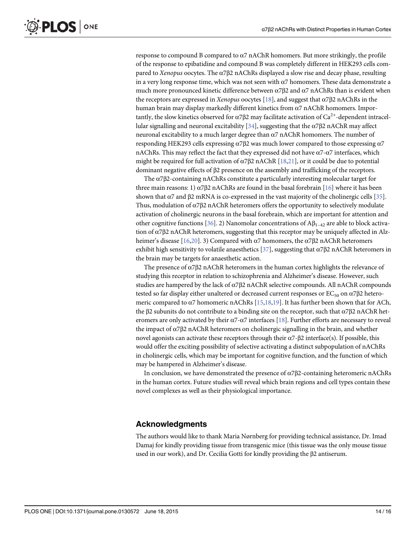<span id="page-15-0"></span>response to compound B compared to  $\alpha$ 7 nAChR homomers. But more strikingly, the profile of the response to epibatidine and compound B was completely different in HEK293 cells compared to Xenopus oocytes. The  $\alpha$ 7 $\beta$ 2 nAChRs displayed a slow rise and decay phase, resulting in a very long response time, which was not seen with  $\alpha$ 7 homomers. These data demonstrate a much more pronounced kinetic difference between  $\alpha$ 7 $\beta$ 2 and  $\alpha$ 7 nAChRs than is evident when the receptors are expressed in Xenopus oocytes [\[18\]](#page-16-0), and suggest that  $\alpha$ 7 $\beta$ 2 nAChRs in the human brain may display markedly different kinetics from α7 nAChR homomers. Importantly, the slow kinetics observed for  $\alpha$ 7 $\beta$ 2 may facilitate activation of Ca<sup>2+</sup>-dependent intracel-lular signalling and neuronal excitability [\[34\]](#page-17-0), suggesting that the α7β2 nAChR may affect neuronal excitability to a much larger degree than α7 nAChR homomers. The number of responding HEK293 cells expressing α7β2 was much lower compared to those expressing α7 nAChRs. This may reflect the fact that they expressed did not have  $\alpha$ 7- $\alpha$ 7 interfaces, which might be required for full activation of  $\alpha$ 7 $\beta$ 2 nAChR [\[18,](#page-16-0)[21\]](#page-17-0), or it could be due to potential dominant negative effects of β2 presence on the assembly and trafficking of the receptors.

The α7β2-containing nAChRs constitute a particularly interesting molecular target for three main reasons: 1)  $\alpha$ 7 $\beta$ 2 nAChRs are found in the basal forebrain [\[16](#page-16-0)] where it has been shown that  $\alpha$ 7 and  $\beta$ 2 mRNA is co-expressed in the vast majority of the cholinergic cells [[35](#page-17-0)]. Thus, modulation of  $\alpha$ 7 $\beta$ 2 nAChR heteromers offers the opportunity to selectively modulate activation of cholinergic neurons in the basal forebrain, which are important for attention and other cognitive functions [[36](#page-17-0)]. 2) Nanomolar concentrations of  $\mathbf{A}\mathbf{\beta}_{1-42}$  are able to block activation of  $\alpha$ 7β2 nAChR heteromers, suggesting that this receptor may be uniquely affected in Alz-heimer's disease [[16](#page-16-0)[,20\]](#page-17-0). 3) Compared with  $\alpha$ 7 homomers, the  $\alpha$ 7 $\beta$ 2 nAChR heteromers exhibit high sensitivity to volatile anaesthetics [ $37$ ], suggesting that  $\alpha$ 7 $\beta$ 2 nAChR heteromers in the brain may be targets for anaesthetic action.

The presence of  $\alpha$ 7β2 nAChR heteromers in the human cortex highlights the relevance of studying this receptor in relation to schizophrenia and Alzheimer's disease. However, such studies are hampered by the lack of  $\alpha$ 7 $\beta$ 2 nAChR selective compounds. All nAChR compounds tested so far display either unaltered or decreased current responses or  $EC_{50}$  on  $\alpha$ 7 $\beta$ 2 heteromeric compared to  $\alpha$ 7 homomeric nAChRs [\[15,18](#page-16-0),[19](#page-17-0)]. It has further been shown that for ACh, the β2 subunits do not contribute to a binding site on the receptor, such that α7β2 nAChR heteromers are only activated by their  $\alpha$ 7- $\alpha$ 7 interfaces [[18](#page-16-0)]. Further efforts are necessary to reveal the impact of α7β2 nAChR heteromers on cholinergic signalling in the brain, and whether novel agonists can activate these receptors through their  $\alpha$ 7- $\beta$ 2 interface(s). If possible, this would offer the exciting possibility of selective activating a distinct subpopulation of nAChRs in cholinergic cells, which may be important for cognitive function, and the function of which may be hampered in Alzheimer's disease.

In conclusion, we have demonstrated the presence of α7β2-containing heteromeric nAChRs in the human cortex. Future studies will reveal which brain regions and cell types contain these novel complexes as well as their physiological importance.

## Acknowledgments

The authors would like to thank Maria Nørnberg for providing technical assistance, Dr. Imad Damaj for kindly providing tissue from transgenic mice (this tissue was the only mouse tissue used in our work), and Dr. Cecilia Gotti for kindly providing the β2 antiserum.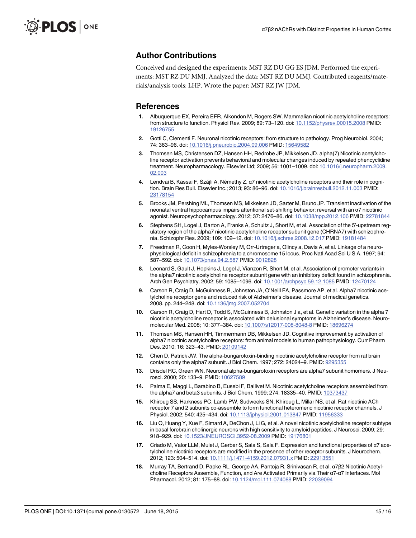### <span id="page-16-0"></span>Author Contributions

Conceived and designed the experiments: MST RZ DU GG ES JDM. Performed the experiments: MST RZ DU MMJ. Analyzed the data: MST RZ DU MMJ. Contributed reagents/materials/analysis tools: LHP. Wrote the paper: MST RZ JW JDM.

#### References

- [1.](#page-3-0) Albuquerque EX, Pereira EFR, Alkondon M, Rogers SW. Mammalian nicotinic acetylcholine receptors: from structure to function. Physiol Rev. 2009; 89: 73–120. doi: [10.1152/physrev.00015.2008](http://dx.doi.org/10.1152/physrev.00015.2008) PMID: [19126755](http://www.ncbi.nlm.nih.gov/pubmed/19126755)
- [2.](#page-3-0) Gotti C, Clementi F. Neuronal nicotinic receptors: from structure to pathology. Prog Neurobiol. 2004; 74: 363–96. doi: [10.1016/j.pneurobio.2004.09.006](http://dx.doi.org/10.1016/j.pneurobio.2004.09.006) PMID: [15649582](http://www.ncbi.nlm.nih.gov/pubmed/15649582)
- [3.](#page-3-0) Thomsen MS, Christensen DZ, Hansen HH, Redrobe JP, Mikkelsen JD. alpha(7) Nicotinic acetylcholine receptor activation prevents behavioral and molecular changes induced by repeated phencyclidine treatment. Neuropharmacology. Elsevier Ltd; 2009; 56: 1001–1009. doi: [10.1016/j.neuropharm.2009.](http://dx.doi.org/10.1016/j.neuropharm.2009.02.003) [02.003](http://dx.doi.org/10.1016/j.neuropharm.2009.02.003)
- [4.](#page-3-0) Lendvai B, Kassai F, Szájli A, Némethy Z. α7 nicotinic acetylcholine receptors and their role in cognition. Brain Res Bull. Elsevier Inc.; 2013; 93: 86–96. doi: [10.1016/j.brainresbull.2012.11.003](http://dx.doi.org/10.1016/j.brainresbull.2012.11.003) PMID: [23178154](http://www.ncbi.nlm.nih.gov/pubmed/23178154)
- [5.](#page-3-0) Brooks JM, Pershing ML, Thomsen MS, Mikkelsen JD, Sarter M, Bruno JP. Transient inactivation of the neonatal ventral hippocampus impairs attentional set-shifting behavior: reversal with an α7 nicotinic agonist. Neuropsychopharmacology. 2012; 37: 2476–86. doi: [10.1038/npp.2012.106](http://dx.doi.org/10.1038/npp.2012.106) PMID: [22781844](http://www.ncbi.nlm.nih.gov/pubmed/22781844)
- [6.](#page-3-0) Stephens SH, Logel J, Barton A, Franks A, Schultz J, Short M, et al. Association of the 5'-upstream regulatory region of the alpha7 nicotinic acetylcholine receptor subunit gene (CHRNA7) with schizophrenia. Schizophr Res. 2009; 109: 102–12. doi: [10.1016/j.schres.2008.12.017](http://dx.doi.org/10.1016/j.schres.2008.12.017) PMID: [19181484](http://www.ncbi.nlm.nih.gov/pubmed/19181484)
- 7. Freedman R, Coon H, Myles-Worsley M, Orr-Urtreger a, Olincy a, Davis A, et al. Linkage of a neurophysiological deficit in schizophrenia to a chromosome 15 locus. Proc Natl Acad Sci U S A. 1997; 94: 587–592. doi: [10.1073/pnas.94.2.587](http://dx.doi.org/10.1073/pnas.94.2.587) PMID: [9012828](http://www.ncbi.nlm.nih.gov/pubmed/9012828)
- 8. Leonard S, Gault J, Hopkins J, Logel J, Vianzon R, Short M, et al. Association of promoter variants in the alpha7 nicotinic acetylcholine receptor subunit gene with an inhibitory deficit found in schizophrenia. Arch Gen Psychiatry. 2002; 59: 1085–1096. doi: [10.1001/archpsyc.59.12.1085](http://dx.doi.org/10.1001/archpsyc.59.12.1085) PMID: [12470124](http://www.ncbi.nlm.nih.gov/pubmed/12470124)
- 9. Carson R, Craig D, McGuinness B, Johnston JA, O'Neill FA, Passmore AP, et al. Alpha7 nicotinic acetylcholine receptor gene and reduced risk of Alzheimer's disease. Journal of medical genetics. 2008. pp. 244–248. doi: [10.1136/jmg.2007.052704](http://dx.doi.org/10.1136/jmg.2007.052704)
- [10.](#page-3-0) Carson R, Craig D, Hart D, Todd S, McGuinness B, Johnston J a, et al. Genetic variation in the alpha 7 nicotinic acetylcholine receptor is associated with delusional symptoms in Alzheimer's disease. Neuromolecular Med. 2008; 10: 377–384. doi: [10.1007/s12017-008-8048-8](http://dx.doi.org/10.1007/s12017-008-8048-8) PMID: [18696274](http://www.ncbi.nlm.nih.gov/pubmed/18696274)
- [11.](#page-3-0) Thomsen MS, Hansen HH, Timmermann DB, Mikkelsen JD. Cognitive improvement by activation of alpha7 nicotinic acetylcholine receptors: from animal models to human pathophysiology. Curr Pharm Des. 2010; 16: 323–43. PMID: [20109142](http://www.ncbi.nlm.nih.gov/pubmed/20109142)
- [12.](#page-3-0) Chen D, Patrick JW. The alpha-bungarotoxin-binding nicotinic acetylcholine receptor from rat brain contains only the alpha7 subunit. J Biol Chem. 1997; 272: 24024–9. PMID: [9295355](http://www.ncbi.nlm.nih.gov/pubmed/9295355)
- [13.](#page-3-0) Drisdel RC, Green WN. Neuronal alpha-bungarotoxin receptors are alpha7 subunit homomers. J Neu-rosci. 2000; 20: 133-9. PMID: [10627589](http://www.ncbi.nlm.nih.gov/pubmed/10627589)
- [14.](#page-3-0) Palma E, Maggi L, Barabino B, Eusebi F, Ballivet M. Nicotinic acetylcholine receptors assembled from the alpha7 and beta3 subunits. J Biol Chem. 1999; 274: 18335-40. PMID: [10373437](http://www.ncbi.nlm.nih.gov/pubmed/10373437)
- [15.](#page-12-0) Khiroug SS, Harkness PC, Lamb PW, Sudweeks SN, Khiroug L, Millar NS, et al. Rat nicotinic ACh receptor 7 and 2 subunits co-assemble to form functional heteromeric nicotinic receptor channels. J Physiol. 2002; 540: 425-434. doi: [10.1113/jphysiol.2001.013847](http://dx.doi.org/10.1113/jphysiol.2001.013847) PMID: [11956333](http://www.ncbi.nlm.nih.gov/pubmed/11956333)
- [16.](#page-3-0) Liu Q, Huang Y, Xue F, Simard A, DeChon J, Li G, et al. A novel nicotinic acetylcholine receptor subtype in basal forebrain cholinergic neurons with high sensitivity to amyloid peptides. J Neurosci. 2009; 29: 918–929. doi: [10.1523/JNEUROSCI.3952-08.2009](http://dx.doi.org/10.1523/JNEUROSCI.3952-08.2009) PMID: [19176801](http://www.ncbi.nlm.nih.gov/pubmed/19176801)
- 17. Criado M, Valor LLM, Mulet J, Gerber S, Sala S, Sala F. Expression and functional properties of α7 acetylcholine nicotinic receptors are modified in the presence of other receptor subunits. J Neurochem. 2012; 123: 504–514. doi: [10.1111/j.1471-4159.2012.07931.x](http://dx.doi.org/10.1111/j.1471-4159.2012.07931.x) PMID: [22913551](http://www.ncbi.nlm.nih.gov/pubmed/22913551)
- [18.](#page-13-0) Murray TA, Bertrand D, Papke RL, George AA, Pantoja R, Srinivasan R, et al. α7β2 Nicotinic Acetylcholine Receptors Assemble, Function, and Are Activated Primarily via Their α7-α7 Interfaces. Mol Pharmacol. 2012; 81: 175–88. doi: [10.1124/mol.111.074088](http://dx.doi.org/10.1124/mol.111.074088) PMID: [22039094](http://www.ncbi.nlm.nih.gov/pubmed/22039094)